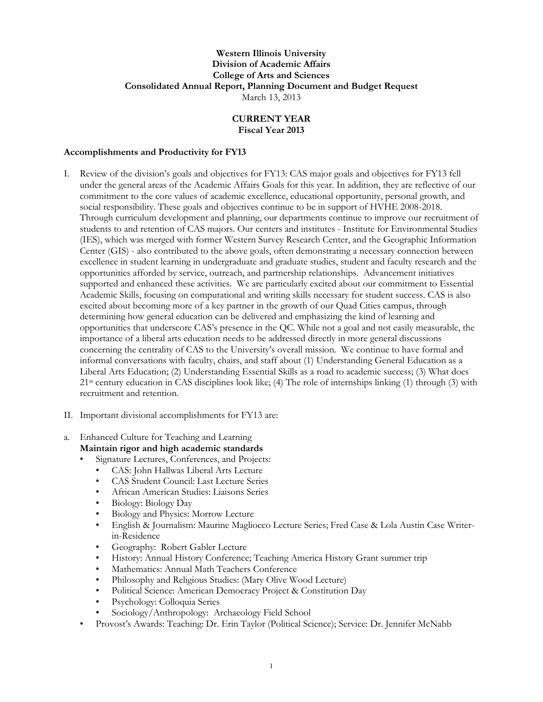#### **Western Illinois University Division of Academic Affairs College of Arts and Sciences Consolidated Annual Report, Planning Document and Budget Request** March 13, 2013

#### **CURRENT YEAR Fiscal Year 2013**

#### **Accomplishments and Productivity for FY13**

- I. Review of the division's goals and objectives for FY13: CAS major goals and objectives for FY13 fell under the general areas of the Academic Affairs Goals for this year. In addition, they are reflective of our commitment to the core values of academic excellence, educational opportunity, personal growth, and social responsibility. These goals and objectives continue to be in support of HVHE 2008-2018. Through curriculum development and planning, our departments continue to improve our recruitment of students to and retention of CAS majors. Our centers and institutes - Institute for Environmental Studies (IES), which was merged with former Western Survey Research Center, and the Geographic Information Center (GIS) - also contributed to the above goals, often demonstrating a necessary connection between excellence in student learning in undergraduate and graduate studies, student and faculty research and the opportunities afforded by service, outreach, and partnership relationships. Advancement initiatives supported and enhanced these activities. We are particularly excited about our commitment to Essential Academic Skills, focusing on computational and writing skills necessary for student success. CAS is also excited about becoming more of a key partner in the growth of our Quad Cities campus, through determining how general education can be delivered and emphasizing the kind of learning and opportunities that underscore CAS's presence in the QC. While not a goal and not easily measurable, the importance of a liberal arts education needs to be addressed directly in more general discussions concerning the centrality of CAS to the University's overall mission. We continue to have formal and informal conversations with faculty, chairs, and staff about (1) Understanding General Education as a Liberal Arts Education; (2) Understanding Essential Skills as a road to academic success; (3) What does 21st century education in CAS disciplines look like; (4) The role of internships linking (1) through (3) with recruitment and retention.
- II. Important divisional accomplishments for FY13 are:
- a. Enhanced Culture for Teaching and Learning **Maintain rigor and high academic standards**
	- Signature Lectures, Conferences, and Projects:
		- CAS: John Hallwas Liberal Arts Lecture
		- CAS Student Council: Last Lecture Series
		- African American Studies: Liaisons Series
		- Biology: Biology Day
		- Biology and Physics: Morrow Lecture
		- English & Journalism: Maurine Magliocco Lecture Series; Fred Case & Lola Austin Case Writerin-Residence
		- Geography: Robert Gabler Lecture
		- History: Annual History Conference; Teaching America History Grant summer trip
		- Mathematics: Annual Math Teachers Conference
		- Philosophy and Religious Studies: (Mary Olive Wood Lecture)
		- Political Science: American Democracy Project & Constitution Day
		- Psychology: Colloquia Series
		- Sociology/Anthropology: Archaeology Field School
	- Provost's Awards: Teaching: Dr. Erin Taylor (Political Science); Service: Dr. Jennifer McNabb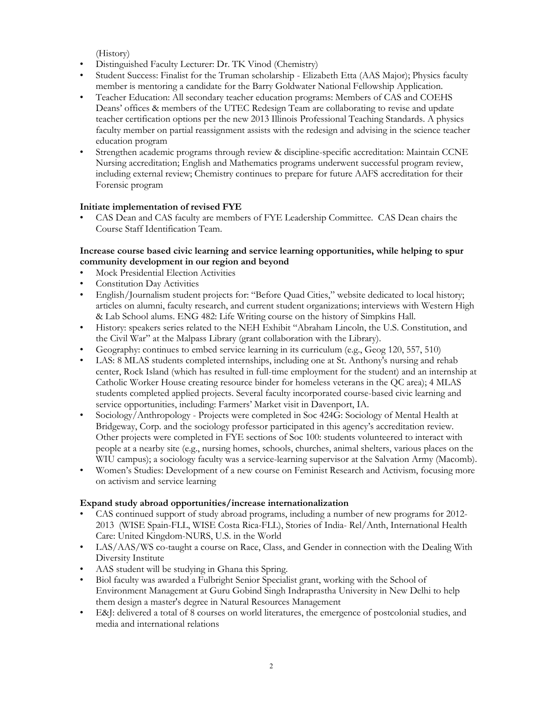(History)

- Distinguished Faculty Lecturer: Dr. TK Vinod (Chemistry)
- Student Success: Finalist for the Truman scholarship Elizabeth Etta (AAS Major); Physics faculty member is mentoring a candidate for the Barry Goldwater National Fellowship Application.
- Teacher Education: All secondary teacher education programs: Members of CAS and COEHS Deans' offices & members of the UTEC Redesign Team are collaborating to revise and update teacher certification options per the new 2013 Illinois Professional Teaching Standards. A physics faculty member on partial reassignment assists with the redesign and advising in the science teacher education program
- Strengthen academic programs through review & discipline-specific accreditation: Maintain CCNE Nursing accreditation; English and Mathematics programs underwent successful program review, including external review; Chemistry continues to prepare for future AAFS accreditation for their Forensic program

## **Initiate implementation of revised FYE**

• CAS Dean and CAS faculty are members of FYE Leadership Committee. CAS Dean chairs the Course Staff Identification Team.

## **Increase course based civic learning and service learning opportunities, while helping to spur community development in our region and beyond**

- Mock Presidential Election Activities
- Constitution Day Activities
- English/Journalism student projects for: "Before Quad Cities," website dedicated to local history; articles on alumni, faculty research, and current student organizations; interviews with Western High & Lab School alums. ENG 482: Life Writing course on the history of Simpkins Hall.
- History: speakers series related to the NEH Exhibit "Abraham Lincoln, the U.S. Constitution, and the Civil War" at the Malpass Library (grant collaboration with the Library).
- Geography: continues to embed service learning in its curriculum (e.g., Geog 120, 557, 510)
- LAS: 8 MLAS students completed internships, including one at St. Anthony's nursing and rehab center, Rock Island (which has resulted in full-time employment for the student) and an internship at Catholic Worker House creating resource binder for homeless veterans in the QC area); 4 MLAS students completed applied projects. Several faculty incorporated course-based civic learning and service opportunities, including: Farmers' Market visit in Davenport, IA.
- Sociology/Anthropology Projects were completed in Soc 424G: Sociology of Mental Health at Bridgeway, Corp. and the sociology professor participated in this agency's accreditation review. Other projects were completed in FYE sections of Soc 100: students volunteered to interact with people at a nearby site (e.g., nursing homes, schools, churches, animal shelters, various places on the WIU campus); a sociology faculty was a service-learning supervisor at the Salvation Army (Macomb).
- Women's Studies: Development of a new course on Feminist Research and Activism, focusing more on activism and service learning

## **Expand study abroad opportunities/increase internationalization**

- CAS continued support of study abroad programs, including a number of new programs for 2012- 2013 (WISE Spain-FLL, WISE Costa Rica-FLL), Stories of India- Rel/Anth, International Health Care: United Kingdom-NURS, U.S. in the World
- LAS/AAS/WS co-taught a course on Race, Class, and Gender in connection with the Dealing With Diversity Institute
- AAS student will be studying in Ghana this Spring.
- Biol faculty was awarded a Fulbright Senior Specialist grant, working with the School of Environment Management at Guru Gobind Singh Indraprastha University in New Delhi to help them design a master's degree in Natural Resources Management
- E&J: delivered a total of 8 courses on world literatures, the emergence of postcolonial studies, and media and international relations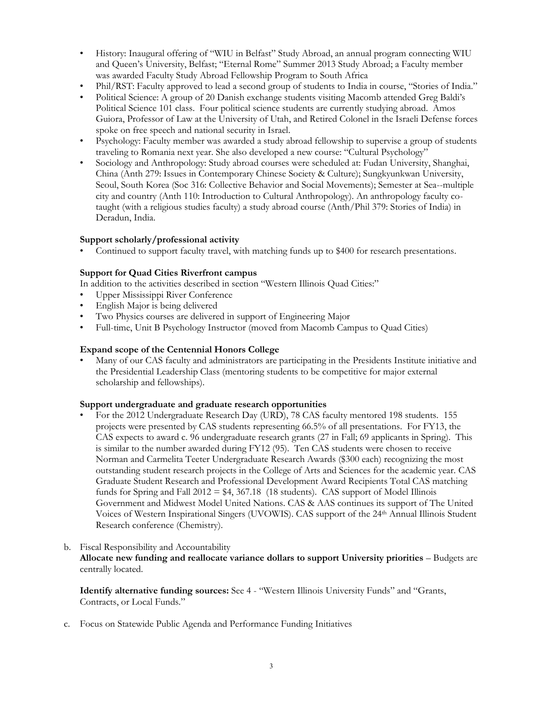- History: Inaugural offering of "WIU in Belfast" Study Abroad, an annual program connecting WIU and Queen's University, Belfast; "Eternal Rome" Summer 2013 Study Abroad; a Faculty member was awarded Faculty Study Abroad Fellowship Program to South Africa
- Phil/RST: Faculty approved to lead a second group of students to India in course, "Stories of India."
- Political Science: A group of 20 Danish exchange students visiting Macomb attended Greg Baldi's Political Science 101 class. Four political science students are currently studying abroad. Amos Guiora, Professor of Law at the University of Utah, and Retired Colonel in the Israeli Defense forces spoke on free speech and national security in Israel.
- Psychology: Faculty member was awarded a study abroad fellowship to supervise a group of students traveling to Romania next year. She also developed a new course: "Cultural Psychology"
- Sociology and Anthropology: Study abroad courses were scheduled at: Fudan University, Shanghai, China (Anth 279: Issues in Contemporary Chinese Society & Culture); Sungkyunkwan University, Seoul, South Korea (Soc 316: Collective Behavior and Social Movements); Semester at Sea--multiple city and country (Anth 110: Introduction to Cultural Anthropology). An anthropology faculty cotaught (with a religious studies faculty) a study abroad course (Anth/Phil 379: Stories of India) in Deradun, India.

## **Support scholarly/professional activity**

• Continued to support faculty travel, with matching funds up to \$400 for research presentations.

## **Support for Quad Cities Riverfront campus**

In addition to the activities described in section "Western Illinois Quad Cities:"

- Upper Mississippi River Conference
- English Major is being delivered
- Two Physics courses are delivered in support of Engineering Major
- Full-time, Unit B Psychology Instructor (moved from Macomb Campus to Quad Cities)

## **Expand scope of the Centennial Honors College**

• Many of our CAS faculty and administrators are participating in the Presidents Institute initiative and the Presidential Leadership Class (mentoring students to be competitive for major external scholarship and fellowships).

## **Support undergraduate and graduate research opportunities**

- For the 2012 Undergraduate Research Day (URD), 78 CAS faculty mentored 198 students*.* 155 projects were presented by CAS students representing 66.5% of all presentations. For FY13, the CAS expects to award c. 96 undergraduate research grants (27 in Fall; 69 applicants in Spring). This is similar to the number awarded during FY12 (95). Ten CAS students were chosen to receive Norman and Carmelita Teeter Undergraduate Research Awards (\$300 each) recognizing the most outstanding student research projects in the College of Arts and Sciences for the academic year. CAS Graduate Student Research and Professional Development Award Recipients Total CAS matching funds for Spring and Fall  $2012 = $4,367.18$  (18 students). CAS support of Model Illinois Government and Midwest Model United Nations. CAS & AAS continues its support of The United Voices of Western Inspirational Singers (UVOWIS). CAS support of the 24th Annual Illinois Student Research conference (Chemistry).
- b. Fiscal Responsibility and Accountability **Allocate new funding and reallocate variance dollars to support University priorities** – Budgets are centrally located.

**Identify alternative funding sources:** See 4 - "Western Illinois University Funds" and "Grants, Contracts, or Local Funds."

c. Focus on Statewide Public Agenda and Performance Funding Initiatives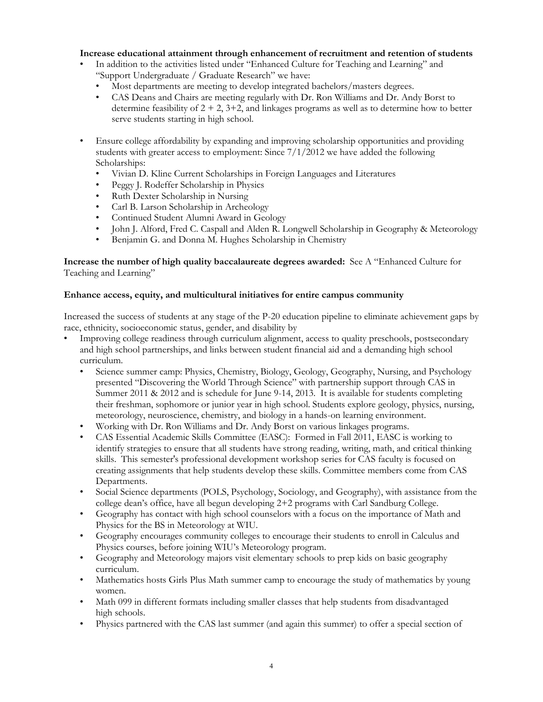#### **Increase educational attainment through enhancement of recruitment and retention of students**

- In addition to the activities listed under "Enhanced Culture for Teaching and Learning" and "Support Undergraduate / Graduate Research" we have:
	- Most departments are meeting to develop integrated bachelors/masters degrees.
	- CAS Deans and Chairs are meeting regularly with Dr. Ron Williams and Dr. Andy Borst to determine feasibility of  $2 + 2$ ,  $3+2$ , and linkages programs as well as to determine how to better serve students starting in high school.
- Ensure college affordability by expanding and improving scholarship opportunities and providing students with greater access to employment: Since  $7/1/2012$  we have added the following Scholarships:
	- Vivian D. Kline Current Scholarships in Foreign Languages and Literatures
	- Peggy J. Rodeffer Scholarship in Physics
	- Ruth Dexter Scholarship in Nursing
	- Carl B. Larson Scholarship in Archeology
	- Continued Student Alumni Award in Geology
	- John J. Alford, Fred C. Caspall and Alden R. Longwell Scholarship in Geography & Meteorology
	- Benjamin G. and Donna M. Hughes Scholarship in Chemistry

**Increase the number of high quality baccalaureate degrees awarded:** See A "Enhanced Culture for Teaching and Learning"

#### **Enhance access, equity, and multicultural initiatives for entire campus community**

Increased the success of students at any stage of the P-20 education pipeline to eliminate achievement gaps by race, ethnicity, socioeconomic status, gender, and disability by

- Improving college readiness through curriculum alignment, access to quality preschools, postsecondary and high school partnerships, and links between student financial aid and a demanding high school curriculum.
	- Science summer camp: Physics, Chemistry, Biology, Geology, Geography, Nursing, and Psychology presented "Discovering the World Through Science" with partnership support through CAS in Summer 2011 & 2012 and is schedule for June 9-14, 2013. It is available for students completing their freshman, sophomore or junior year in high school. Students explore geology, physics, nursing, meteorology, neuroscience, chemistry, and biology in a hands-on learning environment.
	- Working with Dr. Ron Williams and Dr. Andy Borst on various linkages programs.
	- CAS Essential Academic Skills Committee (EASC): Formed in Fall 2011, EASC is working to identify strategies to ensure that all students have strong reading, writing, math, and critical thinking skills. This semester's professional development workshop series for CAS faculty is focused on creating assignments that help students develop these skills. Committee members come from CAS Departments.
	- Social Science departments (POLS, Psychology, Sociology, and Geography), with assistance from the college dean's office, have all begun developing 2+2 programs with Carl Sandburg College.
	- Geography has contact with high school counselors with a focus on the importance of Math and Physics for the BS in Meteorology at WIU.
	- Geography encourages community colleges to encourage their students to enroll in Calculus and Physics courses, before joining WIU's Meteorology program.
	- Geography and Meteorology majors visit elementary schools to prep kids on basic geography curriculum.
	- Mathematics hosts Girls Plus Math summer camp to encourage the study of mathematics by young women.
	- Math 099 in different formats including smaller classes that help students from disadvantaged high schools.
	- Physics partnered with the CAS last summer (and again this summer) to offer a special section of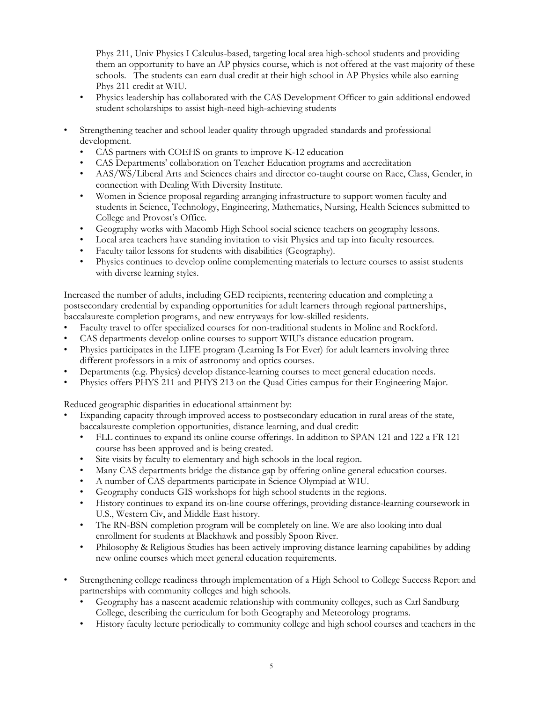Phys 211, Univ Physics I Calculus-based, targeting local area high-school students and providing them an opportunity to have an AP physics course, which is not offered at the vast majority of these schools. The students can earn dual credit at their high school in AP Physics while also earning Phys 211 credit at WIU.

- Physics leadership has collaborated with the CAS Development Officer to gain additional endowed student scholarships to assist high-need high-achieving students
- Strengthening teacher and school leader quality through upgraded standards and professional development.
	- CAS partners with COEHS on grants to improve K-12 education
	- CAS Departments' collaboration on Teacher Education programs and accreditation
	- AAS/WS/Liberal Arts and Sciences chairs and director co-taught course on Race, Class, Gender, in connection with Dealing With Diversity Institute.
	- Women in Science proposal regarding arranging infrastructure to support women faculty and students in Science, Technology, Engineering, Mathematics, Nursing, Health Sciences submitted to College and Provost's Office.
	- Geography works with Macomb High School social science teachers on geography lessons.
	- Local area teachers have standing invitation to visit Physics and tap into faculty resources.
	- Faculty tailor lessons for students with disabilities (Geography).
	- Physics continues to develop online complementing materials to lecture courses to assist students with diverse learning styles.

Increased the number of adults, including GED recipients, reentering education and completing a postsecondary credential by expanding opportunities for adult learners through regional partnerships, baccalaureate completion programs, and new entryways for low-skilled residents.

- Faculty travel to offer specialized courses for non-traditional students in Moline and Rockford.
- CAS departments develop online courses to support WIU's distance education program.
- Physics participates in the LIFE program (Learning Is For Ever) for adult learners involving three different professors in a mix of astronomy and optics courses.
- Departments (e.g. Physics) develop distance-learning courses to meet general education needs.
- Physics offers PHYS 211 and PHYS 213 on the Quad Cities campus for their Engineering Major.

Reduced geographic disparities in educational attainment by:

- Expanding capacity through improved access to postsecondary education in rural areas of the state, baccalaureate completion opportunities, distance learning, and dual credit:
	- FLL continues to expand its online course offerings. In addition to SPAN 121 and 122 a FR 121 course has been approved and is being created.
	- Site visits by faculty to elementary and high schools in the local region.
	- Many CAS departments bridge the distance gap by offering online general education courses.
	- A number of CAS departments participate in Science Olympiad at WIU.
	- Geography conducts GIS workshops for high school students in the regions.
	- History continues to expand its on-line course offerings, providing distance-learning coursework in U.S., Western Civ, and Middle East history.
	- The RN-BSN completion program will be completely on line. We are also looking into dual enrollment for students at Blackhawk and possibly Spoon River.
	- Philosophy & Religious Studies has been actively improving distance learning capabilities by adding new online courses which meet general education requirements.
- Strengthening college readiness through implementation of a High School to College Success Report and partnerships with community colleges and high schools.
	- Geography has a nascent academic relationship with community colleges, such as Carl Sandburg College, describing the curriculum for both Geography and Meteorology programs.
	- History faculty lecture periodically to community college and high school courses and teachers in the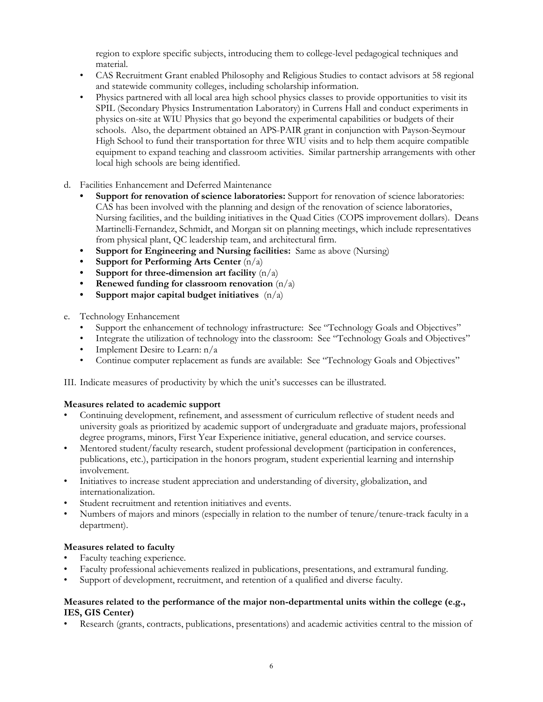region to explore specific subjects, introducing them to college-level pedagogical techniques and material.

- CAS Recruitment Grant enabled Philosophy and Religious Studies to contact advisors at 58 regional and statewide community colleges, including scholarship information.
- Physics partnered with all local area high school physics classes to provide opportunities to visit its SPIL (Secondary Physics Instrumentation Laboratory) in Currens Hall and conduct experiments in physics on-site at WIU Physics that go beyond the experimental capabilities or budgets of their schools. Also, the department obtained an APS-PAIR grant in conjunction with Payson-Seymour High School to fund their transportation for three WIU visits and to help them acquire compatible equipment to expand teaching and classroom activities. Similar partnership arrangements with other local high schools are being identified.
- d. Facilities Enhancement and Deferred Maintenance
	- **• Support for renovation of science laboratories:** Support for renovation of science laboratories: CAS has been involved with the planning and design of the renovation of science laboratories, Nursing facilities, and the building initiatives in the Quad Cities (COPS improvement dollars). Deans Martinelli-Fernandez, Schmidt, and Morgan sit on planning meetings, which include representatives from physical plant, QC leadership team, and architectural firm.
	- **• Support for Engineering and Nursing facilities:** Same as above (Nursing)
	- **• Support for Performing Arts Center** (n/a)
	- **• Support for three-dimension art facility** (n/a)
	- **• Renewed funding for classroom renovation** (n/a)
	- **• Support major capital budget initiatives** (n/a)
- e. Technology Enhancement
	- Support the enhancement of technology infrastructure: See "Technology Goals and Objectives"
	- Integrate the utilization of technology into the classroom: See "Technology Goals and Objectives"
	- Implement Desire to Learn: n/a
	- Continue computer replacement as funds are available: See "Technology Goals and Objectives"

III. Indicate measures of productivity by which the unit's successes can be illustrated.

## **Measures related to academic support**

- Continuing development, refinement, and assessment of curriculum reflective of student needs and university goals as prioritized by academic support of undergraduate and graduate majors, professional degree programs, minors, First Year Experience initiative, general education, and service courses.
- Mentored student/faculty research, student professional development (participation in conferences, publications, etc.), participation in the honors program, student experiential learning and internship involvement.
- Initiatives to increase student appreciation and understanding of diversity, globalization, and internationalization.
- Student recruitment and retention initiatives and events.
- Numbers of majors and minors (especially in relation to the number of tenure/tenure-track faculty in a department).

## **Measures related to faculty**

- Faculty teaching experience.
- Faculty professional achievements realized in publications, presentations, and extramural funding.
- Support of development, recruitment, and retention of a qualified and diverse faculty.

#### **Measures related to the performance of the major non-departmental units within the college (e.g., IES, GIS Center)**

• Research (grants, contracts, publications, presentations) and academic activities central to the mission of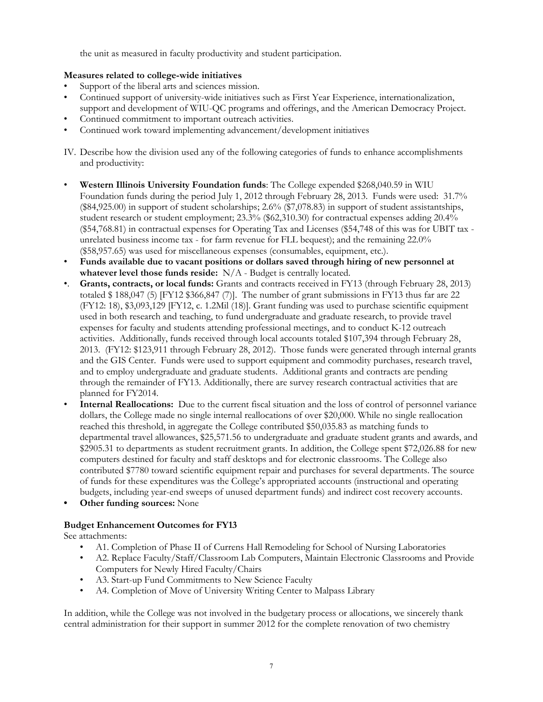the unit as measured in faculty productivity and student participation.

## **Measures related to college-wide initiatives**

- Support of the liberal arts and sciences mission.
- Continued support of university-wide initiatives such as First Year Experience, internationalization, support and development of WIU-QC programs and offerings, and the American Democracy Project.
- Continued commitment to important outreach activities.
- Continued work toward implementing advancement/development initiatives
- IV. Describe how the division used any of the following categories of funds to enhance accomplishments and productivity:
- **Western Illinois University Foundation funds**: The College expended \$268,040.59 in WIU Foundation funds during the period July 1, 2012 through February 28, 2013. Funds were used: 31.7% (\$84,925.00) in support of student scholarships; 2.6% (\$7,078.83) in support of student assistantships, student research or student employment; 23.3% (\$62,310.30) for contractual expenses adding 20.4% (\$54,768.81) in contractual expenses for Operating Tax and Licenses (\$54,748 of this was for UBIT tax unrelated business income tax - for farm revenue for FLL bequest); and the remaining 22.0% (\$58,957.65) was used for miscellaneous expenses (consumables, equipment, etc.).
- **Funds available due to vacant positions or dollars saved through hiring of new personnel at whatever level those funds reside:** N/A - Budget is centrally located.
- •. **Grants, contracts, or local funds:** Grants and contracts received in FY13 (through February 28, 2013) totaled \$ 188,047 (5) [FY12 \$366,847 (7)]. The number of grant submissions in FY13 thus far are 22 (FY12: 18), \$3,093,129 [FY12, c. 1.2Mil (18)]. Grant funding was used to purchase scientific equipment used in both research and teaching, to fund undergraduate and graduate research, to provide travel expenses for faculty and students attending professional meetings, and to conduct K-12 outreach activities. Additionally, funds received through local accounts totaled \$107,394 through February 28, 2013. (FY12: \$123,911 through February 28, 2012). Those funds were generated through internal grants and the GIS Center. Funds were used to support equipment and commodity purchases, research travel, and to employ undergraduate and graduate students. Additional grants and contracts are pending through the remainder of FY13. Additionally, there are survey research contractual activities that are planned for FY2014.
- **Internal Reallocations:** Due to the current fiscal situation and the loss of control of personnel variance dollars, the College made no single internal reallocations of over \$20,000. While no single reallocation reached this threshold, in aggregate the College contributed \$50,035.83 as matching funds to departmental travel allowances, \$25,571.56 to undergraduate and graduate student grants and awards, and \$2905.31 to departments as student recruitment grants. In addition, the College spent \$72,026.88 for new computers destined for faculty and staff desktops and for electronic classrooms. The College also contributed \$7780 toward scientific equipment repair and purchases for several departments. The source of funds for these expenditures was the College's appropriated accounts (instructional and operating budgets, including year-end sweeps of unused department funds) and indirect cost recovery accounts.
- **• Other funding sources:** None

## **Budget Enhancement Outcomes for FY13**

See attachments:

- A1. Completion of Phase II of Currens Hall Remodeling for School of Nursing Laboratories
- A2. Replace Faculty/Staff/Classroom Lab Computers, Maintain Electronic Classrooms and Provide Computers for Newly Hired Faculty/Chairs
- A3. Start-up Fund Commitments to New Science Faculty
- A4. Completion of Move of University Writing Center to Malpass Library

In addition, while the College was not involved in the budgetary process or allocations, we sincerely thank central administration for their support in summer 2012 for the complete renovation of two chemistry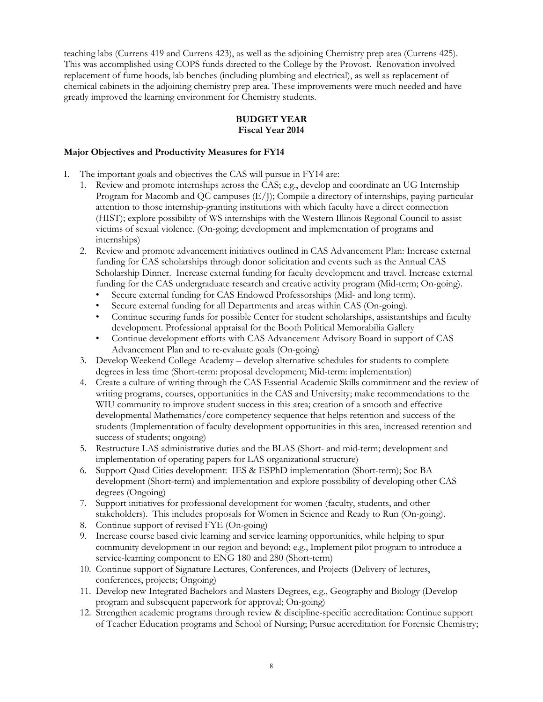teaching labs (Currens 419 and Currens 423), as well as the adjoining Chemistry prep area (Currens 425). This was accomplished using COPS funds directed to the College by the Provost. Renovation involved replacement of fume hoods, lab benches (including plumbing and electrical), as well as replacement of chemical cabinets in the adjoining chemistry prep area. These improvements were much needed and have greatly improved the learning environment for Chemistry students.

## **BUDGET YEAR Fiscal Year 2014**

#### **Major Objectives and Productivity Measures for FY14**

I. The important goals and objectives the CAS will pursue in FY14 are:

- 1. Review and promote internships across the CAS; e.g., develop and coordinate an UG Internship Program for Macomb and QC campuses (E/J); Compile a directory of internships, paying particular attention to those internship-granting institutions with which faculty have a direct connection (HIST); explore possibility of WS internships with the Western Illinois Regional Council to assist victims of sexual violence. (On-going; development and implementation of programs and internships)
- 2. Review and promote advancement initiatives outlined in CAS Advancement Plan: Increase external funding for CAS scholarships through donor solicitation and events such as the Annual CAS Scholarship Dinner. Increase external funding for faculty development and travel. Increase external funding for the CAS undergraduate research and creative activity program (Mid-term; On-going).
	- Secure external funding for CAS Endowed Professorships (Mid- and long term).
	- Secure external funding for all Departments and areas within CAS (On-going).
	- Continue securing funds for possible Center for student scholarships, assistantships and faculty development. Professional appraisal for the Booth Political Memorabilia Gallery
	- Continue development efforts with CAS Advancement Advisory Board in support of CAS Advancement Plan and to re-evaluate goals (On-going)
- 3. Develop Weekend College Academy develop alternative schedules for students to complete degrees in less time (Short-term: proposal development; Mid-term: implementation)
- 4. Create a culture of writing through the CAS Essential Academic Skills commitment and the review of writing programs, courses, opportunities in the CAS and University; make recommendations to the WIU community to improve student success in this area; creation of a smooth and effective developmental Mathematics/core competency sequence that helps retention and success of the students (Implementation of faculty development opportunities in this area, increased retention and success of students; ongoing)
- 5. Restructure LAS administrative duties and the BLAS (Short- and mid-term; development and implementation of operating papers for LAS organizational structure)
- 6. Support Quad Cities development: IES & ESPhD implementation (Short-term); Soc BA development (Short-term) and implementation and explore possibility of developing other CAS degrees (Ongoing)
- 7. Support initiatives for professional development for women (faculty, students, and other stakeholders). This includes proposals for Women in Science and Ready to Run (On-going).
- 8. Continue support of revised FYE (On-going)
- 9. Increase course based civic learning and service learning opportunities, while helping to spur community development in our region and beyond; e.g., Implement pilot program to introduce a service-learning component to ENG 180 and 280 (Short-term)
- 10. Continue support of Signature Lectures, Conferences, and Projects (Delivery of lectures, conferences, projects; Ongoing)
- 11. Develop new Integrated Bachelors and Masters Degrees, e.g., Geography and Biology (Develop program and subsequent paperwork for approval; On-going)
- 12. Strengthen academic programs through review & discipline-specific accreditation: Continue support of Teacher Education programs and School of Nursing; Pursue accreditation for Forensic Chemistry;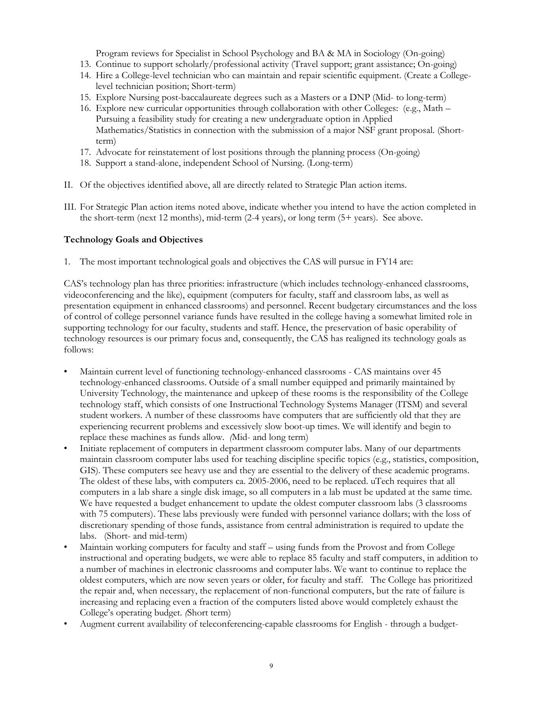Program reviews for Specialist in School Psychology and BA & MA in Sociology (On-going)

- 13. Continue to support scholarly/professional activity (Travel support; grant assistance; On-going)
- 14. Hire a College-level technician who can maintain and repair scientific equipment. (Create a Collegelevel technician position; Short-term)
- 15. Explore Nursing post-baccalaureate degrees such as a Masters or a DNP (Mid- to long-term)
- 16. Explore new curricular opportunities through collaboration with other Colleges: (e.g., Math Pursuing a feasibility study for creating a new undergraduate option in Applied Mathematics/Statistics in connection with the submission of a major NSF grant proposal. (Shortterm)
- 17. Advocate for reinstatement of lost positions through the planning process (On-going)
- 18. Support a stand-alone, independent School of Nursing. (Long-term)
- II. Of the objectives identified above, all are directly related to Strategic Plan action items.
- III. For Strategic Plan action items noted above, indicate whether you intend to have the action completed in the short-term (next 12 months), mid-term (2-4 years), or long term (5+ years). See above.

#### **Technology Goals and Objectives**

1. The most important technological goals and objectives the CAS will pursue in FY14 are:

CAS's technology plan has three priorities: infrastructure (which includes technology-enhanced classrooms, videoconferencing and the like), equipment (computers for faculty, staff and classroom labs, as well as presentation equipment in enhanced classrooms) and personnel. Recent budgetary circumstances and the loss of control of college personnel variance funds have resulted in the college having a somewhat limited role in supporting technology for our faculty, students and staff. Hence, the preservation of basic operability of technology resources is our primary focus and, consequently, the CAS has realigned its technology goals as follows:

- Maintain current level of functioning technology-enhanced classrooms CAS maintains over 45 technology-enhanced classrooms. Outside of a small number equipped and primarily maintained by University Technology, the maintenance and upkeep of these rooms is the responsibility of the College technology staff, which consists of one Instructional Technology Systems Manager (ITSM) and several student workers. A number of these classrooms have computers that are sufficiently old that they are experiencing recurrent problems and excessively slow boot-up times. We will identify and begin to replace these machines as funds allow. *(*Mid- and long term)
- Initiate replacement of computers in department classroom computer labs. Many of our departments maintain classroom computer labs used for teaching discipline specific topics (e.g., statistics, composition, GIS). These computers see heavy use and they are essential to the delivery of these academic programs. The oldest of these labs, with computers ca. 2005-2006, need to be replaced. uTech requires that all computers in a lab share a single disk image, so all computers in a lab must be updated at the same time. We have requested a budget enhancement to update the oldest computer classroom labs (3 classrooms with 75 computers). These labs previously were funded with personnel variance dollars; with the loss of discretionary spending of those funds, assistance from central administration is required to update the labs. (Short- and mid-term)
- Maintain working computers for faculty and staff using funds from the Provost and from College instructional and operating budgets, we were able to replace 85 faculty and staff computers, in addition to a number of machines in electronic classrooms and computer labs. We want to continue to replace the oldest computers, which are now seven years or older, for faculty and staff. The College has prioritized the repair and, when necessary, the replacement of non-functional computers, but the rate of failure is increasing and replacing even a fraction of the computers listed above would completely exhaust the College's operating budget. *(*Short term)
- Augment current availability of teleconferencing-capable classrooms for English through a budget-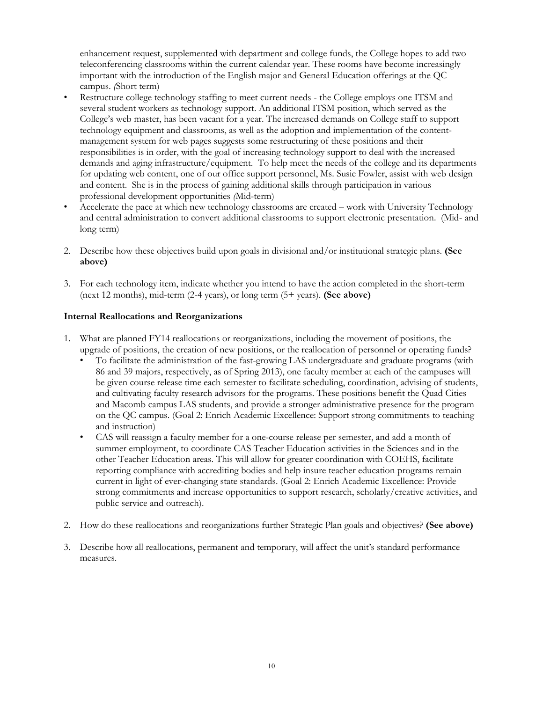enhancement request, supplemented with department and college funds, the College hopes to add two teleconferencing classrooms within the current calendar year. These rooms have become increasingly important with the introduction of the English major and General Education offerings at the QC campus. *(*Short term)

- Restructure college technology staffing to meet current needs the College employs one ITSM and several student workers as technology support. An additional ITSM position, which served as the College's web master, has been vacant for a year. The increased demands on College staff to support technology equipment and classrooms, as well as the adoption and implementation of the contentmanagement system for web pages suggests some restructuring of these positions and their responsibilities is in order, with the goal of increasing technology support to deal with the increased demands and aging infrastructure/equipment. To help meet the needs of the college and its departments for updating web content, one of our office support personnel, Ms. Susie Fowler, assist with web design and content. She is in the process of gaining additional skills through participation in various professional development opportunities *(*Mid-term)
- Accelerate the pace at which new technology classrooms are created work with University Technology and central administration to convert additional classrooms to support electronic presentation. (Mid- and long term)
- 2. Describe how these objectives build upon goals in divisional and/or institutional strategic plans. **(See above)**
- 3. For each technology item, indicate whether you intend to have the action completed in the short-term (next 12 months), mid-term (2-4 years), or long term (5+ years). **(See above)**

## **Internal Reallocations and Reorganizations**

- 1. What are planned FY14 reallocations or reorganizations, including the movement of positions, the upgrade of positions, the creation of new positions, or the reallocation of personnel or operating funds?
	- To facilitate the administration of the fast-growing LAS undergraduate and graduate programs (with 86 and 39 majors, respectively, as of Spring 2013), one faculty member at each of the campuses will be given course release time each semester to facilitate scheduling, coordination, advising of students, and cultivating faculty research advisors for the programs. These positions benefit the Quad Cities and Macomb campus LAS students, and provide a stronger administrative presence for the program on the QC campus. (Goal 2: Enrich Academic Excellence: Support strong commitments to teaching and instruction)
	- CAS will reassign a faculty member for a one-course release per semester, and add a month of summer employment, to coordinate CAS Teacher Education activities in the Sciences and in the other Teacher Education areas. This will allow for greater coordination with COEHS, facilitate reporting compliance with accrediting bodies and help insure teacher education programs remain current in light of ever-changing state standards. (Goal 2: Enrich Academic Excellence: Provide strong commitments and increase opportunities to support research, scholarly/creative activities, and public service and outreach).
- 2. How do these reallocations and reorganizations further Strategic Plan goals and objectives? **(See above)**
- 3. Describe how all reallocations, permanent and temporary, will affect the unit's standard performance measures.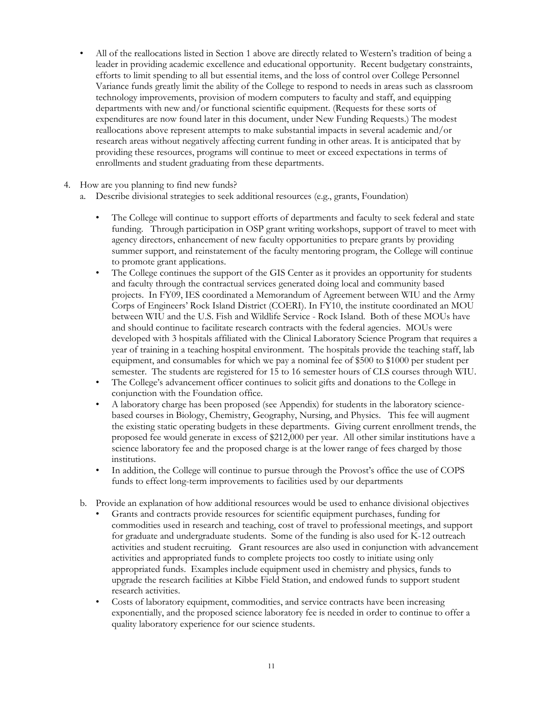- All of the reallocations listed in Section 1 above are directly related to Western's tradition of being a leader in providing academic excellence and educational opportunity. Recent budgetary constraints, efforts to limit spending to all but essential items, and the loss of control over College Personnel Variance funds greatly limit the ability of the College to respond to needs in areas such as classroom technology improvements, provision of modern computers to faculty and staff, and equipping departments with new and/or functional scientific equipment. (Requests for these sorts of expenditures are now found later in this document, under New Funding Requests.) The modest reallocations above represent attempts to make substantial impacts in several academic and/or research areas without negatively affecting current funding in other areas. It is anticipated that by providing these resources, programs will continue to meet or exceed expectations in terms of enrollments and student graduating from these departments.
- 4. How are you planning to find new funds?
	- a. Describe divisional strategies to seek additional resources (e.g., grants, Foundation)
		- The College will continue to support efforts of departments and faculty to seek federal and state funding. Through participation in OSP grant writing workshops, support of travel to meet with agency directors, enhancement of new faculty opportunities to prepare grants by providing summer support, and reinstatement of the faculty mentoring program, the College will continue to promote grant applications.
		- The College continues the support of the GIS Center as it provides an opportunity for students and faculty through the contractual services generated doing local and community based projects. In FY09, IES coordinated a Memorandum of Agreement between WIU and the Army Corps of Engineers' Rock Island District (COERI). In FY10, the institute coordinated an MOU between WIU and the U.S. Fish and Wildlife Service - Rock Island. Both of these MOUs have and should continue to facilitate research contracts with the federal agencies. MOUs were developed with 3 hospitals affiliated with the Clinical Laboratory Science Program that requires a year of training in a teaching hospital environment. The hospitals provide the teaching staff, lab equipment, and consumables for which we pay a nominal fee of \$500 to \$1000 per student per semester. The students are registered for 15 to 16 semester hours of CLS courses through WIU.
		- The College's advancement officer continues to solicit gifts and donations to the College in conjunction with the Foundation office.
		- A laboratory charge has been proposed (see Appendix) for students in the laboratory sciencebased courses in Biology, Chemistry, Geography, Nursing, and Physics. This fee will augment the existing static operating budgets in these departments. Giving current enrollment trends, the proposed fee would generate in excess of \$212,000 per year. All other similar institutions have a science laboratory fee and the proposed charge is at the lower range of fees charged by those institutions.
		- In addition, the College will continue to pursue through the Provost's office the use of COPS funds to effect long-term improvements to facilities used by our departments
	- b. Provide an explanation of how additional resources would be used to enhance divisional objectives
		- Grants and contracts provide resources for scientific equipment purchases, funding for commodities used in research and teaching, cost of travel to professional meetings, and support for graduate and undergraduate students. Some of the funding is also used for K-12 outreach activities and student recruiting. Grant resources are also used in conjunction with advancement activities and appropriated funds to complete projects too costly to initiate using only appropriated funds. Examples include equipment used in chemistry and physics, funds to upgrade the research facilities at Kibbe Field Station, and endowed funds to support student research activities.
		- Costs of laboratory equipment, commodities, and service contracts have been increasing exponentially, and the proposed science laboratory fee is needed in order to continue to offer a quality laboratory experience for our science students.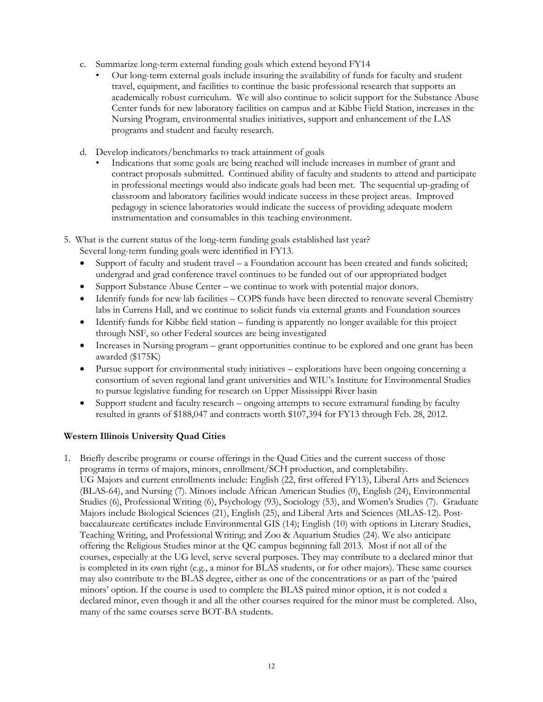- c. Summarize long-term external funding goals which extend beyond FY14
	- Our long-term external goals include insuring the availability of funds for faculty and student travel, equipment, and facilities to continue the basic professional research that supports an academically robust curriculum. We will also continue to solicit support for the Substance Abuse Center funds for new laboratory facilities on campus and at Kibbe Field Station, increases in the Nursing Program, environmental studies initiatives, support and enhancement of the LAS programs and student and faculty research.
- d. Develop indicators/benchmarks to track attainment of goals
	- Indications that some goals are being reached will include increases in number of grant and contract proposals submitted. Continued ability of faculty and students to attend and participate in professional meetings would also indicate goals had been met. The sequential up-grading of classroom and laboratory facilities would indicate success in these project areas. Improved pedagogy in science laboratories would indicate the success of providing adequate modern instrumentation and consumables in this teaching environment.
- 5. What is the current status of the long-term funding goals established last year?
	- Several long-term funding goals were identified in FY13.
	- Support of faculty and student travel a Foundation account has been created and funds solicited; undergrad and grad conference travel continues to be funded out of our appropriated budget
	- Support Substance Abuse Center we continue to work with potential major donors.
	- Identify funds for new lab facilities COPS funds have been directed to renovate several Chemistry labs in Currens Hall, and we continue to solicit funds via external grants and Foundation sources
	- Identify funds for Kibbe field station funding is apparently no longer available for this project through NSF, so other Federal sources are being investigated
	- Increases in Nursing program grant opportunities continue to be explored and one grant has been awarded (\$175K)
	- Pursue support for environmental study initiatives explorations have been ongoing concerning a consortium of seven regional land grant universities and WIU's Institute for Environmental Studies to pursue legislative funding for research on Upper Mississippi River basin
	- Support student and faculty research ongoing attempts to secure extramural funding by faculty resulted in grants of \$188,047 and contracts worth \$107,394 for FY13 through Feb. 28, 2012.

# **Western Illinois University Quad Cities**

1. Briefly describe programs or course offerings in the Quad Cities and the current success of those programs in terms of majors, minors, enrollment/SCH production, and completability. UG Majors and current enrollments include: English (22, first offered FY13), Liberal Arts and Sciences (BLAS-64), and Nursing (7). Minors include African American Studies (0), English (24), Environmental Studies (6), Professional Writing (6), Psychology (93), Sociology (53), and Women's Studies (7). Graduate Majors include Biological Sciences (21), English (25), and Liberal Arts and Sciences (MLAS-12). Postbaccalaureate certificates include Environmental GIS (14); English (10) with options in Literary Studies, Teaching Writing, and Professional Writing; and Zoo & Aquarium Studies (24). We also anticipate offering the Religious Studies minor at the QC campus beginning fall 2013. Most if not all of the courses, especially at the UG level, serve several purposes. They may contribute to a declared minor that is completed in its own right (e.g., a minor for BLAS students, or for other majors). These same courses may also contribute to the BLAS degree, either as one of the concentrations or as part of the 'paired minors' option. If the course is used to complete the BLAS paired minor option, it is not coded a declared minor, even though it and all the other courses required for the minor must be completed. Also, many of the same courses serve BOT-BA students.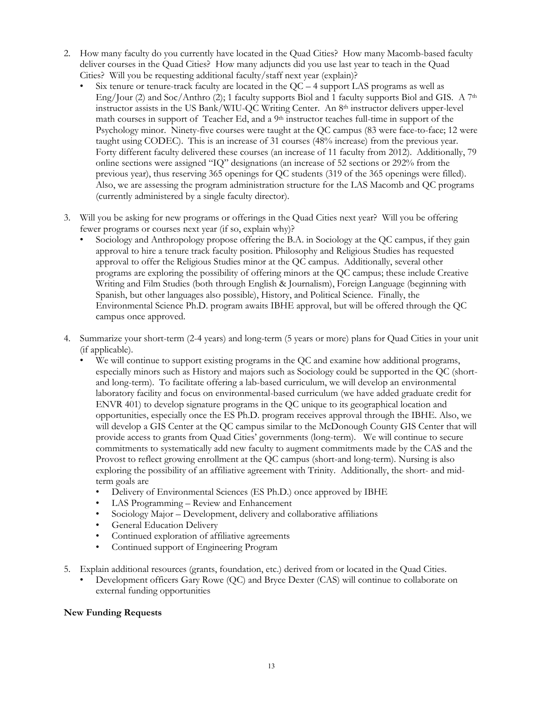- 2. How many faculty do you currently have located in the Quad Cities? How many Macomb-based faculty deliver courses in the Quad Cities? How many adjuncts did you use last year to teach in the Quad Cities? Will you be requesting additional faculty/staff next year (explain)?
	- Six tenure or tenure-track faculty are located in the  $QC 4$  support LAS programs as well as Eng/Jour (2) and Soc/Anthro (2); 1 faculty supports Biol and 1 faculty supports Biol and GIS. A  $7<sup>th</sup>$ instructor assists in the US Bank/WIU-QC Writing Center. An 8th instructor delivers upper-level math courses in support of Teacher Ed, and a  $9<sup>th</sup>$  instructor teaches full-time in support of the Psychology minor. Ninety-five courses were taught at the QC campus (83 were face-to-face; 12 were taught using CODEC). This is an increase of 31 courses (48% increase) from the previous year. Forty different faculty delivered these courses (an increase of 11 faculty from 2012). Additionally, 79 online sections were assigned "IQ" designations (an increase of 52 sections or 292% from the previous year), thus reserving 365 openings for QC students (319 of the 365 openings were filled). Also, we are assessing the program administration structure for the LAS Macomb and QC programs (currently administered by a single faculty director).
- 3. Will you be asking for new programs or offerings in the Quad Cities next year? Will you be offering fewer programs or courses next year (if so, explain why)?
	- Sociology and Anthropology propose offering the B.A. in Sociology at the QC campus, if they gain approval to hire a tenure track faculty position. Philosophy and Religious Studies has requested approval to offer the Religious Studies minor at the QC campus. Additionally, several other programs are exploring the possibility of offering minors at the QC campus; these include Creative Writing and Film Studies (both through English & Journalism), Foreign Language (beginning with Spanish, but other languages also possible), History, and Political Science. Finally, the Environmental Science Ph.D. program awaits IBHE approval, but will be offered through the QC campus once approved.
- 4. Summarize your short-term (2-4 years) and long-term (5 years or more) plans for Quad Cities in your unit (if applicable).
	- We will continue to support existing programs in the QC and examine how additional programs, especially minors such as History and majors such as Sociology could be supported in the QC (shortand long-term). To facilitate offering a lab-based curriculum, we will develop an environmental laboratory facility and focus on environmental-based curriculum (we have added graduate credit for ENVR 401) to develop signature programs in the QC unique to its geographical location and opportunities, especially once the ES Ph.D. program receives approval through the IBHE. Also, we will develop a GIS Center at the QC campus similar to the McDonough County GIS Center that will provide access to grants from Quad Cities' governments (long-term). We will continue to secure commitments to systematically add new faculty to augment commitments made by the CAS and the Provost to reflect growing enrollment at the QC campus (short-and long-term). Nursing is also exploring the possibility of an affiliative agreement with Trinity. Additionally, the short- and midterm goals are
		- Delivery of Environmental Sciences (ES Ph.D.) once approved by IBHE
		- LAS Programming Review and Enhancement
		- Sociology Major Development, delivery and collaborative affiliations
		- General Education Delivery
		- Continued exploration of affiliative agreements
		- Continued support of Engineering Program
- 5. Explain additional resources (grants, foundation, etc.) derived from or located in the Quad Cities.
	- Development officers Gary Rowe (QC) and Bryce Dexter (CAS) will continue to collaborate on external funding opportunities

## **New Funding Requests**